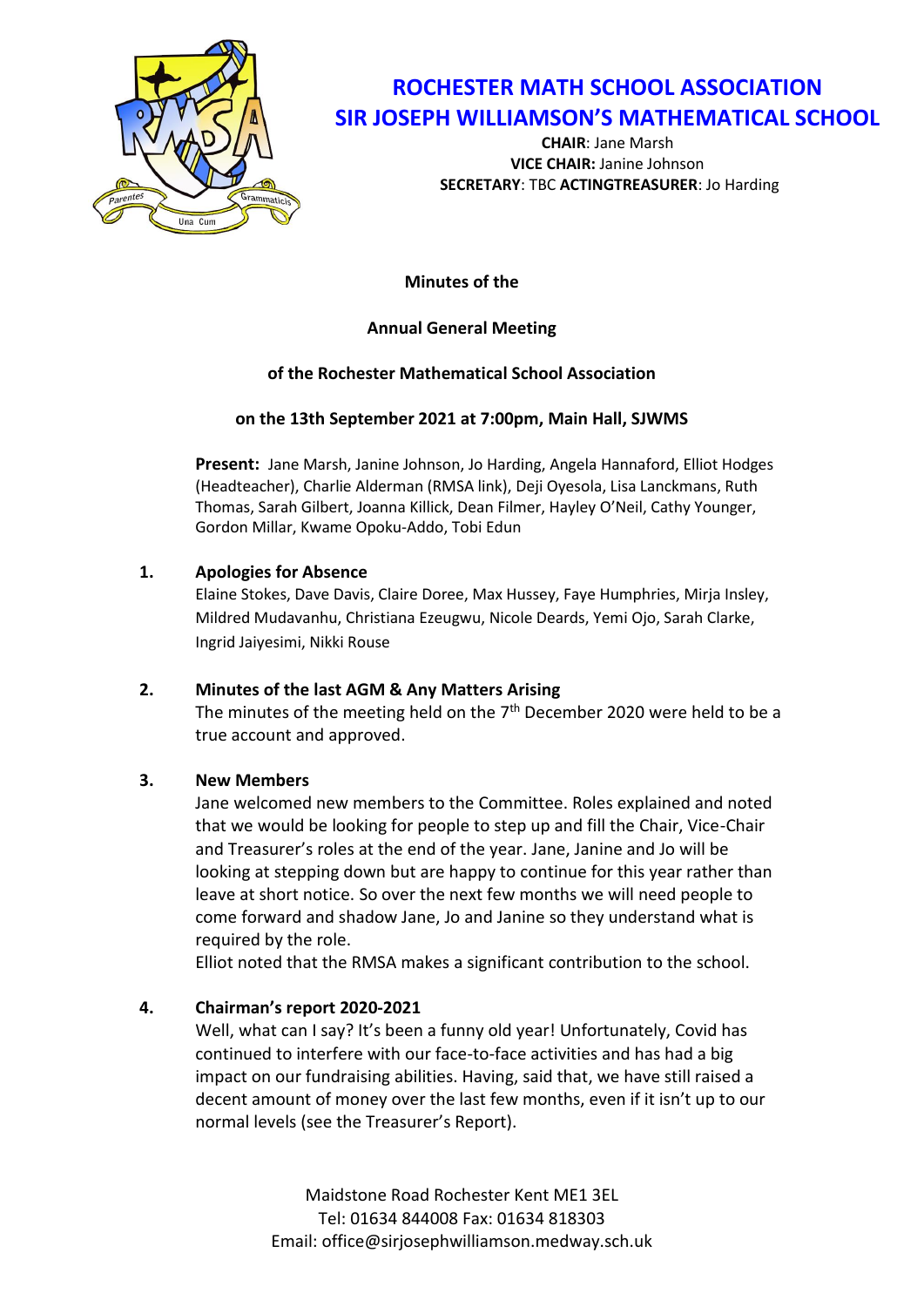

# **ROCHESTER MATH SCHOOL ASSOCIATION SIR JOSEPH WILLIAMSON'S MATHEMATICAL SCHOOL**

**CHAIR**: Jane Marsh **VICE CHAIR:** Janine Johnson **SECRETARY**: TBC **ACTINGTREASURER**: Jo Harding

**Minutes of the**

# **Annual General Meeting**

# **of the Rochester Mathematical School Association**

# **on the 13th September 2021 at 7:00pm, Main Hall, SJWMS**

**Present:** Jane Marsh, Janine Johnson, Jo Harding, Angela Hannaford, Elliot Hodges (Headteacher), Charlie Alderman (RMSA link), Deji Oyesola, Lisa Lanckmans, Ruth Thomas, Sarah Gilbert, Joanna Killick, Dean Filmer, Hayley O'Neil, Cathy Younger, Gordon Millar, Kwame Opoku-Addo, Tobi Edun

# **1. Apologies for Absence**

Elaine Stokes, Dave Davis, Claire Doree, Max Hussey, Faye Humphries, Mirja Insley, Mildred Mudavanhu, Christiana Ezeugwu, Nicole Deards, Yemi Ojo, Sarah Clarke, Ingrid Jaiyesimi, Nikki Rouse

# **2. Minutes of the last AGM & Any Matters Arising**

The minutes of the meeting held on the  $7<sup>th</sup>$  December 2020 were held to be a true account and approved.

# **3. New Members**

Jane welcomed new members to the Committee. Roles explained and noted that we would be looking for people to step up and fill the Chair, Vice-Chair and Treasurer's roles at the end of the year. Jane, Janine and Jo will be looking at stepping down but are happy to continue for this year rather than leave at short notice. So over the next few months we will need people to come forward and shadow Jane, Jo and Janine so they understand what is required by the role.

Elliot noted that the RMSA makes a significant contribution to the school.

# **4. Chairman's report 2020-2021**

Well, what can I say? It's been a funny old year! Unfortunately, Covid has continued to interfere with our face-to-face activities and has had a big impact on our fundraising abilities. Having, said that, we have still raised a decent amount of money over the last few months, even if it isn't up to our normal levels (see the Treasurer's Report).

> Maidstone Road Rochester Kent ME1 3EL Tel: 01634 844008 Fax: 01634 818303 Email: office@sirjosephwilliamson.medway.sch.uk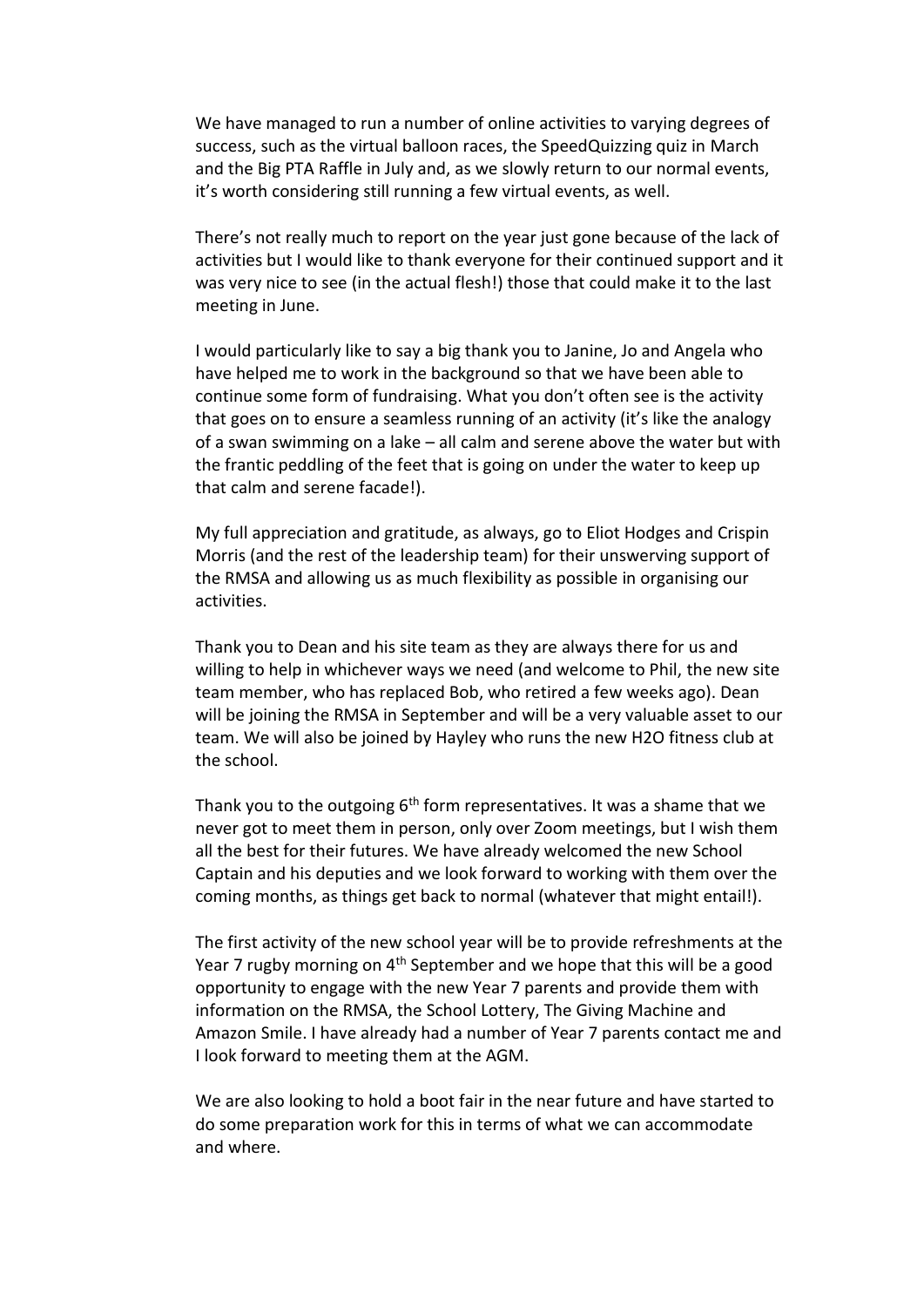We have managed to run a number of online activities to varying degrees of success, such as the virtual balloon races, the SpeedQuizzing quiz in March and the Big PTA Raffle in July and, as we slowly return to our normal events, it's worth considering still running a few virtual events, as well.

There's not really much to report on the year just gone because of the lack of activities but I would like to thank everyone for their continued support and it was very nice to see (in the actual flesh!) those that could make it to the last meeting in June.

I would particularly like to say a big thank you to Janine, Jo and Angela who have helped me to work in the background so that we have been able to continue some form of fundraising. What you don't often see is the activity that goes on to ensure a seamless running of an activity (it's like the analogy of a swan swimming on a lake – all calm and serene above the water but with the frantic peddling of the feet that is going on under the water to keep up that calm and serene facade!).

My full appreciation and gratitude, as always, go to Eliot Hodges and Crispin Morris (and the rest of the leadership team) for their unswerving support of the RMSA and allowing us as much flexibility as possible in organising our activities.

Thank you to Dean and his site team as they are always there for us and willing to help in whichever ways we need (and welcome to Phil, the new site team member, who has replaced Bob, who retired a few weeks ago). Dean will be joining the RMSA in September and will be a very valuable asset to our team. We will also be joined by Hayley who runs the new H2O fitness club at the school.

Thank you to the outgoing  $6<sup>th</sup>$  form representatives. It was a shame that we never got to meet them in person, only over Zoom meetings, but I wish them all the best for their futures. We have already welcomed the new School Captain and his deputies and we look forward to working with them over the coming months, as things get back to normal (whatever that might entail!).

The first activity of the new school year will be to provide refreshments at the Year 7 rugby morning on  $4<sup>th</sup>$  September and we hope that this will be a good opportunity to engage with the new Year 7 parents and provide them with information on the RMSA, the School Lottery, The Giving Machine and Amazon Smile. I have already had a number of Year 7 parents contact me and I look forward to meeting them at the AGM.

We are also looking to hold a boot fair in the near future and have started to do some preparation work for this in terms of what we can accommodate and where.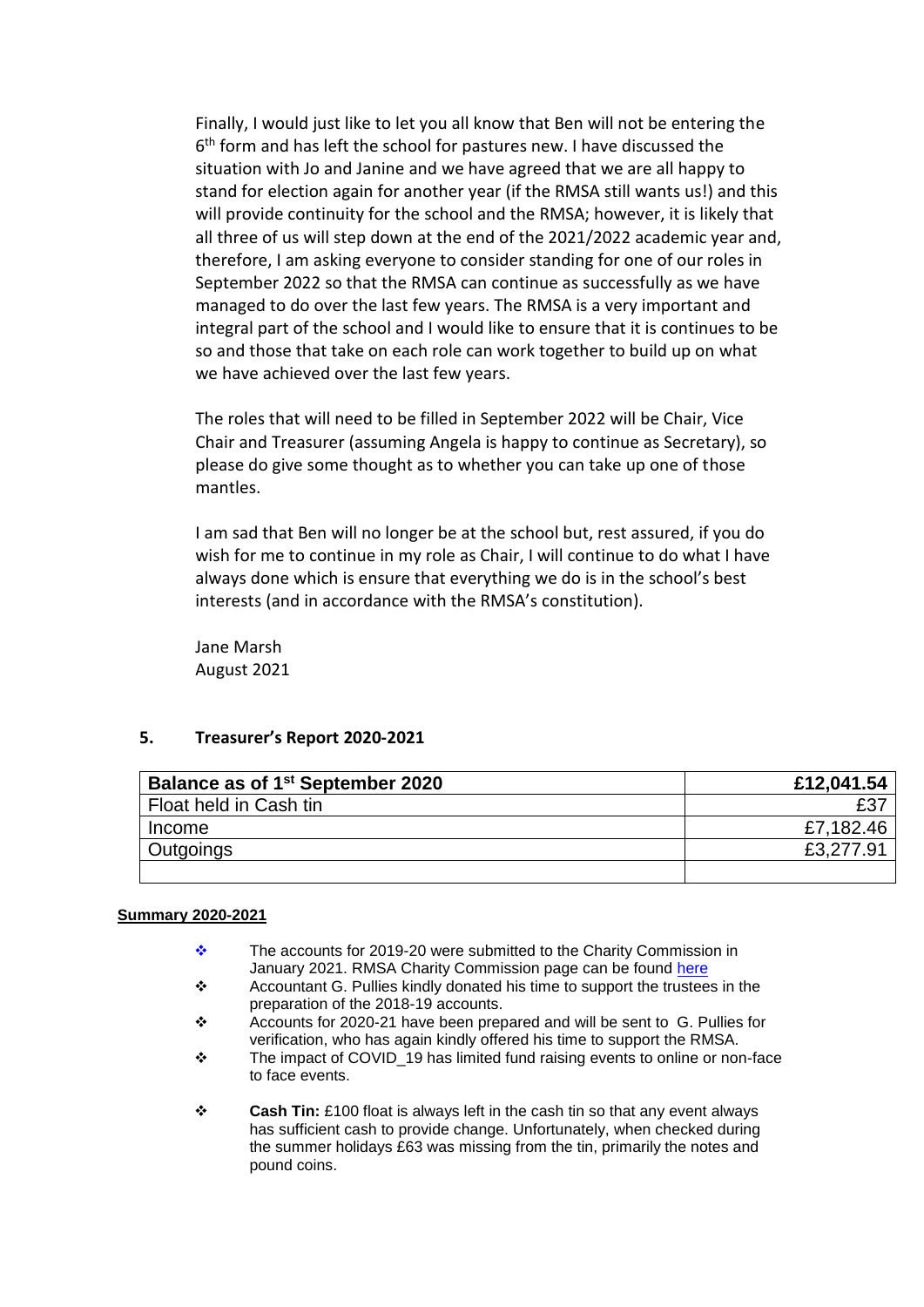Finally, I would just like to let you all know that Ben will not be entering the 6<sup>th</sup> form and has left the school for pastures new. I have discussed the situation with Jo and Janine and we have agreed that we are all happy to stand for election again for another year (if the RMSA still wants us!) and this will provide continuity for the school and the RMSA; however, it is likely that all three of us will step down at the end of the 2021/2022 academic year and, therefore, I am asking everyone to consider standing for one of our roles in September 2022 so that the RMSA can continue as successfully as we have managed to do over the last few years. The RMSA is a very important and integral part of the school and I would like to ensure that it is continues to be so and those that take on each role can work together to build up on what we have achieved over the last few years.

The roles that will need to be filled in September 2022 will be Chair, Vice Chair and Treasurer (assuming Angela is happy to continue as Secretary), so please do give some thought as to whether you can take up one of those mantles.

I am sad that Ben will no longer be at the school but, rest assured, if you do wish for me to continue in my role as Chair, I will continue to do what I have always done which is ensure that everything we do is in the school's best interests (and in accordance with the RMSA's constitution).

Jane Marsh August 2021

### **5. Treasurer's Report 2020-2021**

| Balance as of 1 <sup>st</sup> September 2020 | £12,041.54 |
|----------------------------------------------|------------|
| Float held in Cash tin                       | £37        |
| Income                                       | £7,182.46  |
| Outgoings                                    | £3,277.91  |
|                                              |            |

#### **Summary 2020-2021**

- ❖ The accounts for 2019-20 were submitted to the Charity Commission in January 2021. RMSA Charity Commission page can be found [here](https://register-of-charities.charitycommission.gov.uk/charity-search/-/charity-details/297726)
- ❖ Accountant G. Pullies kindly donated his time to support the trustees in the preparation of the 2018-19 accounts.
- ❖ Accounts for 2020-21 have been prepared and will be sent to G. Pullies for verification, who has again kindly offered his time to support the RMSA.
- ❖ The impact of COVID\_19 has limited fund raising events to online or non-face to face events.
- ❖ **Cash Tin:** £100 float is always left in the cash tin so that any event always has sufficient cash to provide change. Unfortunately, when checked during the summer holidays £63 was missing from the tin, primarily the notes and pound coins.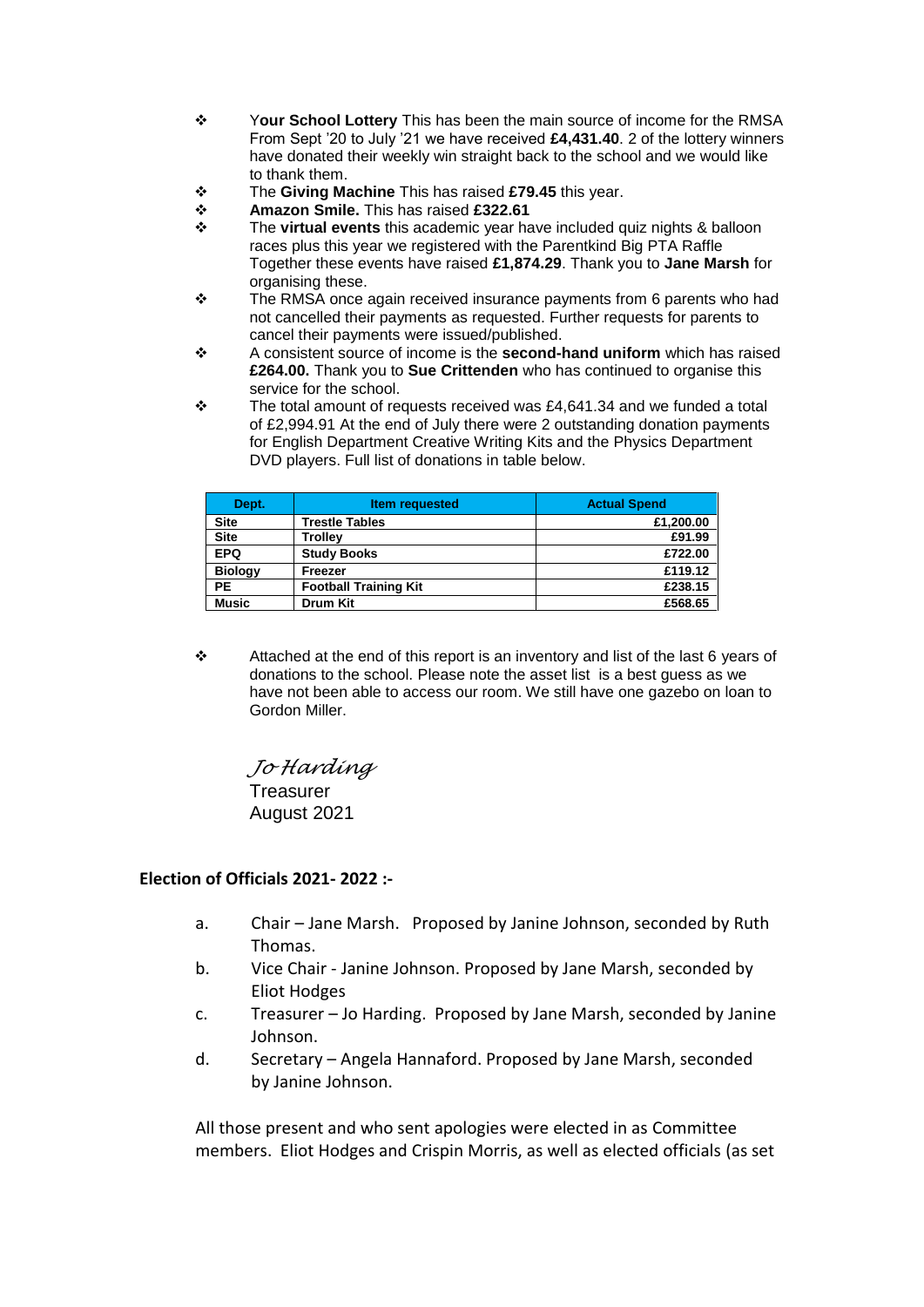- ❖ Y**our School Lottery** This has been the main source of income for the RMSA From Sept '20 to July '21 we have received **£4,431.40**. 2 of the lottery winners have donated their weekly win straight back to the school and we would like to thank them.
- ❖ The **Giving Machine** This has raised **£79.45** this year.
- ❖ **Amazon Smile.** This has raised **£322.61**
- ❖ The **virtual events** this academic year have included quiz nights & balloon races plus this year we registered with the Parentkind Big PTA Raffle Together these events have raised **£1,874.29**. Thank you to **Jane Marsh** for organising these.
- ❖ The RMSA once again received insurance payments from 6 parents who had not cancelled their payments as requested. Further requests for parents to cancel their payments were issued/published.
- ❖ A consistent source of income is the **second-hand uniform** which has raised **£264.00.** Thank you to **Sue Crittenden** who has continued to organise this service for the school.
- $\cdot \cdot$  The total amount of requests received was £4,641.34 and we funded a total of £2,994.91 At the end of July there were 2 outstanding donation payments for English Department Creative Writing Kits and the Physics Department DVD players. Full list of donations in table below.

| Dept.          | <b>Item requested</b>        | <b>Actual Spend</b> |
|----------------|------------------------------|---------------------|
| <b>Site</b>    | <b>Trestle Tables</b>        | £1,200.00           |
| <b>Site</b>    | <b>Trollev</b>               | £91.99              |
| <b>EPQ</b>     | <b>Study Books</b>           | £722.00             |
| <b>Biology</b> | Freezer                      | £119.12             |
| PE             | <b>Football Training Kit</b> | £238.15             |
| <b>Music</b>   | <b>Drum Kit</b>              | £568.65             |

❖ Attached at the end of this report is an inventory and list of the last 6 years of donations to the school. Please note the asset list is a best guess as we have not been able to access our room. We still have one gazebo on loan to Gordon Miller.

*Jo Harding*  **Treasurer** August 2021

### **Election of Officials 2021- 2022 :-**

- a. Chair Jane Marsh. Proposed by Janine Johnson, seconded by Ruth Thomas.
- b. Vice Chair Janine Johnson. Proposed by Jane Marsh, seconded by Eliot Hodges
- c. Treasurer Jo Harding. Proposed by Jane Marsh, seconded by Janine Johnson.
- d. Secretary Angela Hannaford. Proposed by Jane Marsh, seconded by Janine Johnson.

All those present and who sent apologies were elected in as Committee members. Eliot Hodges and Crispin Morris, as well as elected officials (as set